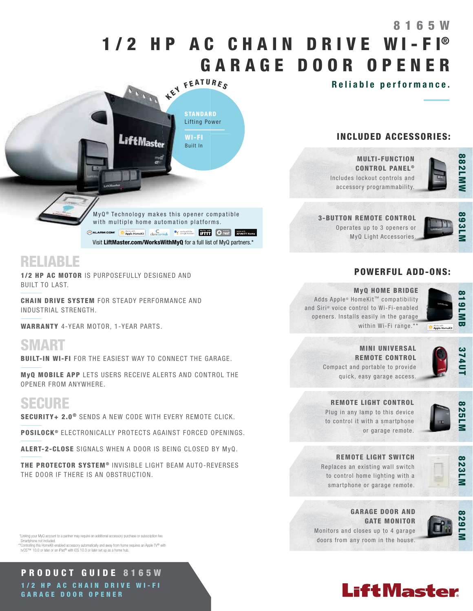# 1/2 HP AC CHAIN DRIVE WI-FI® G A R A G E D O O R O P E N E R 8 1 6 5 W

Reliable performance.

## INCLUDED ACCESSORIES:



893LI

MULTI-FUNCTION **CONTROL PANEL®** Includes lockout controls and accessory programmability.

3-BUTTON REMOTE CONTROL

Operates up to 3 openers or MyQ Light Accessories.

### POWERFUL ADD-ONS:



#### MyQ HOME BRIDGE

Adds Apple® HomeKit™ compatibility and Siri® voice control to Wi-Fi-enabled openers. Installs easily in the garage within Wi-Fi range.\*\*



MINI UNIVERSAL REMOTE CONTROL Compact and portable to provide quick, easy garage access.

#### REMOTE LIGHT CONTROL

Plug in any lamp to this device to control it with a smartphone



or garage remote.



REMOTE LIGHT SWITCH Replaces an existing wall switch

to control home lighting with a smartphone or garage remote.



GARAGE DOOR AND GATE MONITOR Monitors and closes up to 4 garage doors from any room in the house.







**LiftMaster** 

**STANDARD** Lifting Power

KEY FEATURES

WI-FI Built In

RELIABLE

1/2 HP AC MOTOR IS PURPOSEFULLY DESIGNED AND BUILT TO LAST.

CHAIN DRIVE SYSTEM FOR STEADY PERFORMANCE AND INDUSTRIAL STRENGTH.

WARRANTY 4-YEAR MOTOR, 1-YEAR PARTS.

SMART

BUILT-IN WI-FI FOR THE EASIEST WAY TO CONNECT THE GARAGE.

MyQ MOBILE APP LETS USERS RECEIVE ALERTS AND CONTROL THE OPENER FROM ANYWHERE.

# **SECURE**

SECURITY+ 2.0<sup>®</sup> SENDS A NEW CODE WITH EVERY REMOTE CLICK.

POSILOCK<sup>®</sup> ELECTRONICALLY PROTECTS AGAINST FORCED OPENINGS.

ALERT-2-CLOSE SIGNALS WHEN A DOOR IS BEING CLOSED BY MyQ.

THE PROTECTOR SYSTEM<sup>®</sup> INVISIBLE LIGHT BEAM AUTO-REVERSES THE DOOR IF THERE IS AN OBSTRUCTION.

 \*Linking your MyQ account to a partner may require an additional accessory purchase or subscription fee. Smartphone not included.

\*\*Controlling this HomeKit-enabled accessory automatically and away from home requires an Apple TV® with tvOS™ 10.0 or later or an iPad® with iOS 10.0 or later set up as a home hub.

PRODUCT GUIDE 8165W 1/2 HP AC CHAIN DRIVE WI-FI G A R A G E D O O R O P E N E R